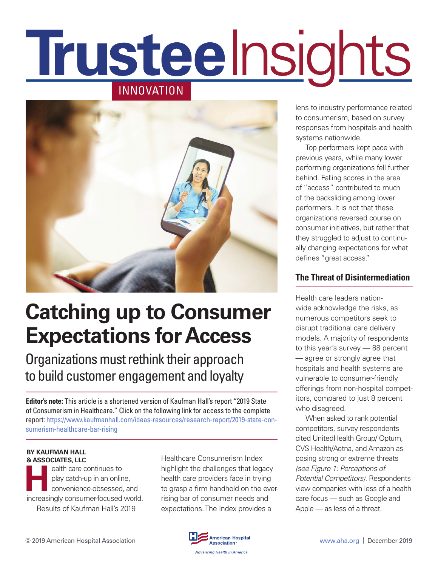# **Trusteelnsights** INNOVATION



# **Catching up to Consumer Expectations for Access**

Organizations must rethink their approach to build customer engagement and loyalty

**Editor's note:** This article is a shortened version of Kaufman Hall's report "2019 State of Consumerism in Healthcare." Click on the following link for access to the complete report: [https://www.kaufmanhall.com/ideas-resources/research-report/2019-state-con](https://www.kaufmanhall.com/ideas-resources/research-report/2019-state-consumerism-healthcare-bar-rising)[sumerism-healthcare-bar-rising](https://www.kaufmanhall.com/ideas-resources/research-report/2019-state-consumerism-healthcare-bar-rising)

#### **BY KAUFMAN HALL & ASSOCIATES, LLC**

**Health care continues to**<br>play catch-up in an online<br>convenience-obsessed, play catch-up in an online, convenience-obsessed, and increasingly consumer-focused world. Results of Kaufman Hall's 2019

Healthcare Consumerism Index highlight the challenges that legacy health care providers face in trying to grasp a firm handhold on the everrising bar of consumer needs and expectations. The Index provides a

lens to industry performance related to consumerism, based on survey responses from hospitals and health systems nationwide.

Top performers kept pace with previous years, while many lower performing organizations fell further behind. Falling scores in the area of "access" contributed to much of the backsliding among lower performers. It is not that these organizations reversed course on consumer initiatives, but rather that they struggled to adjust to continually changing expectations for what defines "great access."

#### **The Threat of Disintermediation**

Health care leaders nationwide acknowledge the risks, as numerous competitors seek to disrupt traditional care delivery models. A majority of respondents to this year's survey — 88 percent — agree or strongly agree that hospitals and health systems are vulnerable to consumer-friendly offerings from non-hospital competitors, compared to just 8 percent who disagreed.

When asked to rank potential competitors, survey respondents cited UnitedHealth Group/ Optum, CVS Health/Aetna, and Amazon as posing strong or extreme threats *(see Figure 1: Perceptions of Potential Competitors)*. Respondents view companies with less of a health care focus — such as Google and Apple — as less of a threat.

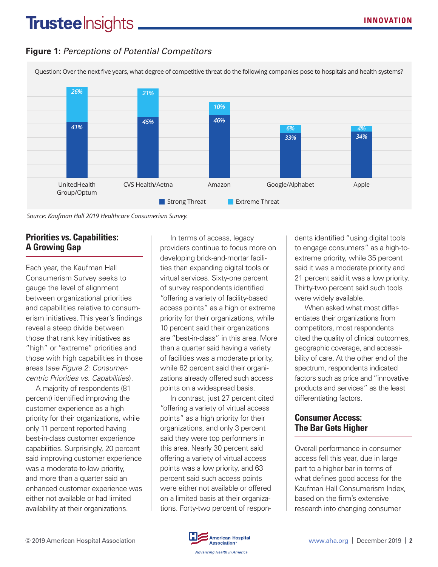## **Trusteelnsights**

#### *Figure 2. Perceptions of Potential Competitors* **Figure 1:** *Perceptions of Potential Competitors*

Question: Over the next five years, what degree of competitive threat do the following companies pose to hospitals and health systems?



*Source: Kaufman Hall 2019 Healthcare Consumerism Survey.*

#### **Priorities vs. Capabilities: A Growing Gap**

Each year, the Kaufman Hall Consumerism Survey seeks to gauge the level of alignment between organizational priorities and capabilities relative to consumerism initiatives. This year's findings reveal a steep divide between those that rank key initiatives as "high" or "extreme" priorities and those with high capabilities in those areas (*see Figure 2: Consumercentric Priorities vs. Capabilities*).

A majority of respondents (81 percent) identified improving the customer experience as a high priority for their organizations, while only 11 percent reported having best-in-class customer experience capabilities. Surprisingly, 20 percent said improving customer experience was a moderate-to-low priority, and more than a quarter said an enhanced customer experience was either not available or had limited availability at their organizations.

In terms of access, legacy providers continue to focus more on developing brick-and-mortar facilities than expanding digital tools or virtual services. Sixty-one percent of survey respondents identified "offering a variety of facility-based access points" as a high or extreme priority for their organizations, while 10 percent said their organizations are "best-in-class" in this area. More than a quarter said having a variety of facilities was a moderate priority, while 62 percent said their organizations already offered such access points on a widespread basis.

In contrast, just 27 percent cited "offering a variety of virtual access points" as a high priority for their organizations, and only 3 percent said they were top performers in this area. Nearly 30 percent said offering a variety of virtual access points was a low priority, and 63 percent said such access points were either not available or offered on a limited basis at their organizations. Forty-two percent of respondents identified "using digital tools to engage consumers" as a high-toextreme priority, while 35 percent said it was a moderate priority and 21 percent said it was a low priority. Thirty-two percent said such tools were widely available.

When asked what most differentiates their organizations from competitors, most respondents cited the quality of clinical outcomes, geographic coverage, and accessibility of care. At the other end of the spectrum, respondents indicated factors such as price and "innovative products and services" as the least differentiating factors.

#### **Consumer Access: The Bar Gets Higher**

Overall performance in consumer access fell this year, due in large part to a higher bar in terms of what defines good access for the Kaufman Hall Consumerism Index, based on the firm's extensive research into changing consumer

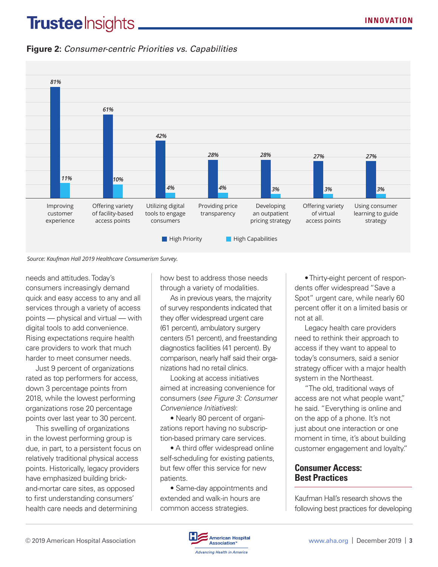## **Trustee** Insights.

#### *Figure 3. Consumer-centric Priorities vs. Capabilities* **Figure 2:** *Consumer-centric Priorities vs. Capabilities*





needs and attitudes. Today's consumers increasingly demand quick and easy access to any and all services through a variety of access points — physical and virtual — with digital tools to add convenience. Rising expectations require health care providers to work that much harder to meet consumer needs.

Just 9 percent of organizations rated as top performers for access, down 3 percentage points from 2018, while the lowest performing organizations rose 20 percentage points over last year to 30 percent.

This swelling of organizations in the lowest performing group is due, in part, to a persistent focus on relatively traditional physical access points. Historically, legacy providers have emphasized building brickand-mortar care sites, as opposed to first understanding consumers' health care needs and determining

how best to address those needs through a variety of modalities.

As in previous years, the majority of survey respondents indicated that they offer widespread urgent care (61 percent), ambulatory surgery centers (51 percent), and freestanding diagnostics facilities (41 percent). By comparison, nearly half said their organizations had no retail clinics.

Looking at access initiatives aimed at increasing convenience for consumers (*see Figure 3: Consumer Convenience Initiatives*):

• Nearly 80 percent of organizations report having no subscription-based primary care services.

• A third offer widespread online self-scheduling for existing patients, but few offer this service for new patients.

• Same-day appointments and extended and walk-in hours are common access strategies.

• Thirty-eight percent of respondents offer widespread "Save a Spot" urgent care, while nearly 60 percent offer it on a limited basis or not at all.

Legacy health care providers need to rethink their approach to access if they want to appeal to today's consumers, said a senior strategy officer with a major health system in the Northeast.

"The old, traditional ways of access are not what people want," he said. "Everything is online and on the app of a phone. It's not just about one interaction or one moment in time, it's about building customer engagement and loyalty."

#### **Consumer Access: Best Practices**

Kaufman Hall's research shows the following best practices for developing

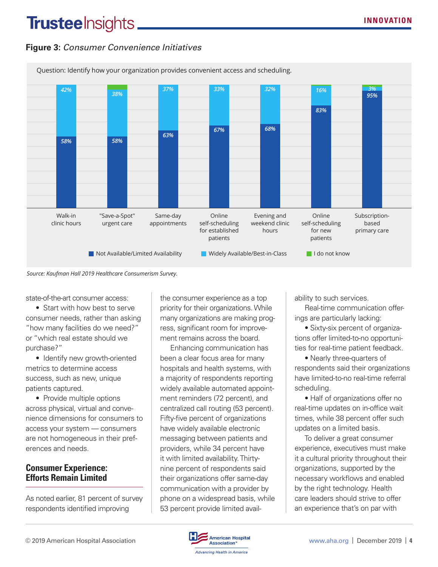# **Trusteelnsights\_**

#### *Figure 5. Consumer Convenience Initiatives* **Figure 3:** *Consumer Convenience Initiatives*



#### *Source: Kaufman Hall 2019 Healthcare Consumerism Survey.*

state-of-the-art consumer access:

• Start with how best to serve consumer needs, rather than asking "how many facilities do we need?" or "which real estate should we purchase?"

• Identify new growth-oriented metrics to determine access success, such as new, unique patients captured.

• Provide multiple options across physical, virtual and convenience dimensions for consumers to access your system — consumers are not homogeneous in their preferences and needs.

#### **Consumer Experience: Efforts Remain Limited**

As noted earlier, 81 percent of survey respondents identified improving

the consumer experience as a top priority for their organizations. While many organizations are making progress, significant room for improvement remains across the board.

Enhancing communication has been a clear focus area for many hospitals and health systems, with a majority of respondents reporting widely available automated appointment reminders (72 percent), and centralized call routing (53 percent). Fifty-five percent of organizations have widely available electronic messaging between patients and providers, while 34 percent have it with limited availability. Thirtynine percent of respondents said their organizations offer same-day communication with a provider by phone on a widespread basis, while 53 percent provide limited availability to such services.

Real-time communication offerings are particularly lacking:

• Sixty-six percent of organizations offer limited-to-no opportunities for real-time patient feedback.

• Nearly three-quarters of respondents said their organizations have limited-to-no real-time referral scheduling.

• Half of organizations offer no real-time updates on in-office wait times, while 38 percent offer such updates on a limited basis.

To deliver a great consumer experience, executives must make it a cultural priority throughout their organizations, supported by the necessary workflows and enabled by the right technology. Health care leaders should strive to offer an experience that's on par with